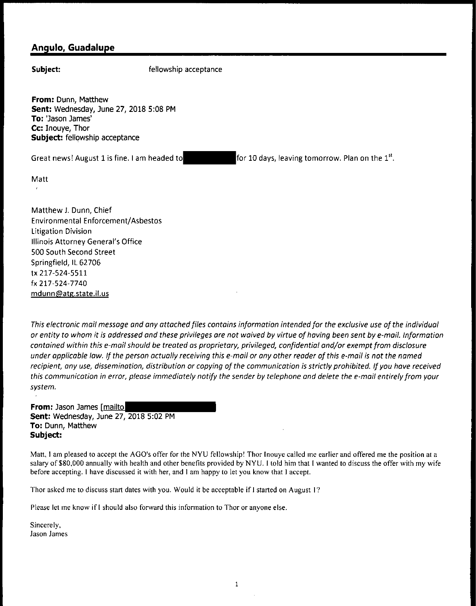## **Angulo, Guadalupe**

**Subject:** fellowship acceptance

**From:** Dunn, Matthew **Sent:** Wednesday, June 27, 2018 5:08 PM **To:** 'Jason James' **Cc:** Inouye, Thor **Subject:** fellowship acceptance

Great news! August 1 is fine. I am headed to

for 10 days, leaving tomorrow. Plan on the  $1^{st}$ .

Matt

Matthew J. Dunn, Chief Environmental Enforcement/ Asbestos Litigation Division Illinois Attorney General's Office 500 South Second Street Springfield, IL 62706 tx 217-524-5511 fx 217-524-7740 mdunn@atg.state.il.us

*This electronic mail message and any attached files contains information intended for the exclusive use of the individual or entity to whom it is addressed and these privileges ore not waived by virtue of having been sent by e-mail. Information contained within this e-mail should be treated as proprietary, privileged, confidential and/or exempt from disclosure under applicable law. If the person actually receiving this e-mail or any other reader of this e-mail is not the named recipient, any use, dissemination, distribution or copying of the communication is strictly prohibited. If you have received this communication in error, please immediately notify the sender by telephone and delete the e-mail entirely from your system.* 

**From:** Jason James [mailto **Sent:** Wednesday, June 27, 2018 5:02 PM **To:** Dunn, Matthew **Subject:** 

Matt, I am pleased to accept the AGO's offer for the NYU fellowship! Thor Inouye called me earlier and offered me the position at a salary of \$80,000 annually with health and other benefits provided by NYU. I told him that I wanted to discuss the offer with my wife before accepting. I have discussed it with her, and I am happy to let you know that I accept.

Thor asked me to discuss start dates with you. Would it be acceptable if I started on August 1?

Please let me know if I should also forward this infonnation to Thor or anyone else.

Sincerely, Jason James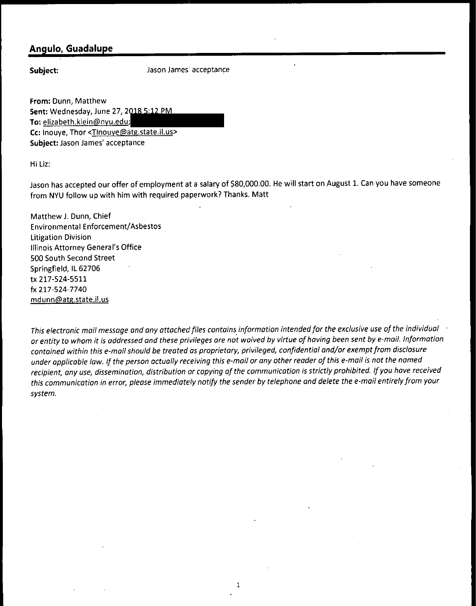## **Angulo, Guadalupe**

**Subject:** 

Jason James' acceptance

**From:** Dunn, Matthew **Sent:** Wednesday, June 27, 2 **To:** elizabeth.klein@nyu.edu; **Cc:** Inouye, Thor <Tlnouye@atg.state.il.us> **Subject:** Jason James' acceptance

Hi Liz:

Jason has accepted our offer of employment at a salary of \$80,000.00. He will start on August 1. Can you have someone from NYU follow up with him with required paperwork? Thanks. Matt

Matthew J. Dunn, Chief Environmental Enforcement/Asbestos litigation Division Illinois Attorney General's Office 500 South Second Street Springfield, IL 62706 tx 217-524-5511 fx 217-524-7740 mdunn@atg.state.il.us

*This electronic mail message and any attached files contains information intended for the exclusive use of the individual or entity to whom it is addressed and these privileges are not waived by virtue of having been sent by e-mail. Information contained within this e-mail should be treated as proprietary, privileged, confidential and/or exempt from disclosure under applicoble law. If the person actually receiving this e-mail or any other reader of this e-mail is not the named recipient, any use, dissemination, distribution or copying of the communication is strictly prohibited. If you have received this communication in error, please immediately notify the sender by telephone and delete the e-mail entirely from your system.* 

1